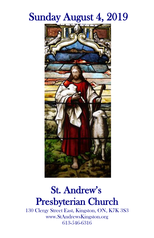# Sunday August 4, 2019



## St. Andrew's Presbyterian Church

130 Clergy Street East, Kingston, ON, K7K 3S3 www.StAndrewsKingston.org 613-546-6316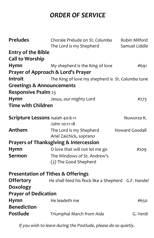### *ORDER OF SERVICE*

| <b>Preludes</b>                      | Chorale Prelude on St. Columba<br>The Lord is my Shepherd | Robin Milford<br>Samuel Liddle |
|--------------------------------------|-----------------------------------------------------------|--------------------------------|
| <b>Entry of the Bible</b>            |                                                           |                                |
| <b>Call to Worship</b>               |                                                           |                                |
| <b>Hymn</b>                          | My shepherd is the King of love                           | #691                           |
|                                      | Prayer of Approach & Lord's Prayer                        |                                |
| <b>Introit</b>                       | The King of love my shepherd is St. Columba tune          |                                |
| <b>Greetings &amp; Announcements</b> |                                                           |                                |
| <b>Responsive Psalm 23</b>           |                                                           |                                |
| Hymn                                 | Jesus, our mighty Lord                                    | #273                           |
| <b>Time with Children</b>            |                                                           |                                |
| Scripture Lessons Isaiah 40:6-11     |                                                           | Nuworza K.                     |
|                                      | John 10:11-18                                             |                                |
| Anthem                               | The Lord is my Shepherd<br>Ariel Zaichick, soprano        | <b>Howard Goodall</b>          |
|                                      | <b>Prayers of Thanksgiving &amp; Intercession</b>         |                                |
| <b>Hymn</b>                          | O love that will not let me go                            | #209                           |
| Sermon                               | The Windows of St. Andrew's<br>(3) The Good Shepherd      |                                |
|                                      | <b>Presentation of Tithes &amp; Offerings</b>             |                                |
| <b>Offertory</b>                     | He shall feed his flock like a Shepherd G.F. Handel       |                                |
| Doxology                             |                                                           |                                |
| <b>Prayer of Dedication</b>          |                                                           |                                |
| Hymn<br><b>Benediction</b>           | He leadeth me                                             | #650                           |
| Postlude                             | Triumphal March from Aida                                 | G. Verdi                       |

*If you wish to leave during the Postlude, please do so quietly.*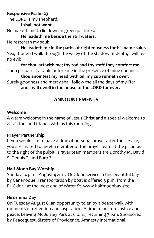#### **Responsive Psalm 23**

The LORD is my shepherd;

**I shall not want.** 

He maketh me to lie down in green pastures:

**He leadeth me beside the still waters.** He restoreth my soul:

**He leadeth me in the paths of righteousness for his name sake.**  Yea, though I walk through the valley of the shadow of death, I will fear no evil:

**for thou art with me; thy rod and thy staff they comfort me.** Thou preparest a table before me in the presence of mine enemies:

**thou anointest my head with oil: my cup runneth over.** Surely goodness and mercy shall follow me all the days of my life:

**and I will dwell in the house of the LORD for ever.** 

### **ANNOUNCEMENTS**

#### **Welcome**

A warm welcome in the name of Jesus Christ and a special welcome to all visitors and friends with us this morning.

#### **Prayer Partnership**

If you would like to have a time of personal prayer after the service, you are invited to meet a member of the prayer team at the pillar just to the right of the pulpit. Prayer team members are Dorothy M. David S. Dennis T. and Barb Z.

#### **Half Moon Bay Worship**

Sundays 4 p.m. August 4 & 11. Outdoor service in this beautiful bay by Gananoque. Transportation by boat is offered 3 p.m. from the PUC dock at the west end of Water St. www.halfmoonbay.site

#### **Hiroshima Day**

On Tuesday August 6, an opportunity to enjoy a peace walk with moments of reflection and inspiration. A time to nurture justice and peace. Leaving McBurney Park at 6 p.m., returning 7 p.m. Sponsored by Peacequest, Sisters of Providence, Amnesty International.